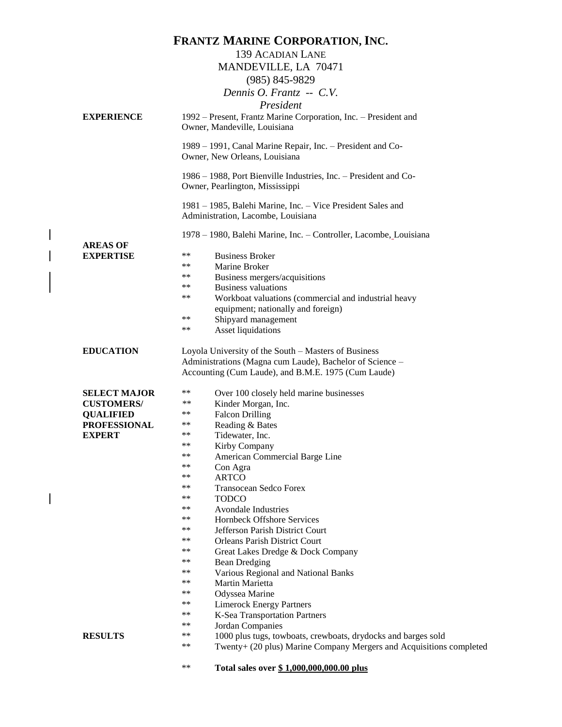|                     | <b>FRANTZ MARINE CORPORATION, INC.</b>                                                                                                     |
|---------------------|--------------------------------------------------------------------------------------------------------------------------------------------|
|                     | <b>139 ACADIAN LANE</b>                                                                                                                    |
|                     | MANDEVILLE, LA 70471                                                                                                                       |
|                     | (985) 845-9829                                                                                                                             |
|                     | Dennis O. Frantz. -- C.V.                                                                                                                  |
|                     |                                                                                                                                            |
|                     | President                                                                                                                                  |
| <b>EXPERIENCE</b>   | 1992 – Present, Frantz Marine Corporation, Inc. – President and                                                                            |
|                     | Owner, Mandeville, Louisiana                                                                                                               |
|                     | 1989 - 1991, Canal Marine Repair, Inc. - President and Co-                                                                                 |
|                     | Owner, New Orleans, Louisiana                                                                                                              |
|                     | 1986 – 1988, Port Bienville Industries, Inc. – President and Co-<br>Owner, Pearlington, Mississippi                                        |
|                     | 1981 – 1985, Balehi Marine, Inc. – Vice President Sales and                                                                                |
|                     | Administration, Lacombe, Louisiana                                                                                                         |
|                     | 1978 – 1980, Balehi Marine, Inc. – Controller, Lacombe, Louisiana                                                                          |
| <b>AREAS OF</b>     |                                                                                                                                            |
| <b>EXPERTISE</b>    | **<br><b>Business Broker</b>                                                                                                               |
|                     | **<br>Marine Broker                                                                                                                        |
|                     | **<br>Business mergers/acquisitions                                                                                                        |
|                     | <b>Business valuations</b><br>**                                                                                                           |
|                     | **<br>Workboat valuations (commercial and industrial heavy                                                                                 |
|                     | equipment; nationally and foreign)                                                                                                         |
|                     | **<br>Shipyard management<br>**                                                                                                            |
|                     | Asset liquidations                                                                                                                         |
| <b>EDUCATION</b>    | Loyola University of the South - Masters of Business                                                                                       |
|                     | Administrations (Magna cum Laude), Bachelor of Science -                                                                                   |
|                     | Accounting (Cum Laude), and B.M.E. 1975 (Cum Laude)                                                                                        |
| <b>SELECT MAJOR</b> | **<br>Over 100 closely held marine businesses                                                                                              |
| <b>CUSTOMERS/</b>   | $***$<br>Kinder Morgan, Inc.                                                                                                               |
| <b>QUALIFIED</b>    | **<br><b>Falcon Drilling</b>                                                                                                               |
| <b>PROFESSIONAL</b> | **<br>Reading & Bates                                                                                                                      |
| <b>EXPERT</b>       | **<br>Tidewater, Inc.                                                                                                                      |
|                     | ∗∗<br>Kirby Company                                                                                                                        |
|                     | **<br>American Commercial Barge Line                                                                                                       |
|                     | **<br>Con Agra                                                                                                                             |
|                     | <b>ARTCO</b><br>**<br>**                                                                                                                   |
|                     | Transocean Sedco Forex<br><b>TODCO</b><br>**                                                                                               |
|                     | **<br>Avondale Industries                                                                                                                  |
|                     | **<br>Hornbeck Offshore Services                                                                                                           |
|                     | **<br>Jefferson Parish District Court                                                                                                      |
|                     | **<br><b>Orleans Parish District Court</b>                                                                                                 |
|                     | **<br>Great Lakes Dredge & Dock Company                                                                                                    |
|                     | **<br><b>Bean Dredging</b>                                                                                                                 |
|                     | **<br>Various Regional and National Banks                                                                                                  |
|                     | **<br>Martin Marietta                                                                                                                      |
|                     | **<br>Odyssea Marine                                                                                                                       |
|                     | **<br><b>Limerock Energy Partners</b><br>**                                                                                                |
|                     | K-Sea Transportation Partners<br>**                                                                                                        |
| <b>RESULTS</b>      | Jordan Companies<br>**                                                                                                                     |
|                     | 1000 plus tugs, towboats, crewboats, drydocks and barges sold<br>**<br>Twenty+ (20 plus) Marine Company Mergers and Acquisitions completed |
|                     |                                                                                                                                            |
|                     | **<br>Total sales over \$1,000,000,000.00 plus                                                                                             |

 $\begin{array}{c} \hline \end{array}$ 

 $\overline{\phantom{a}}$ 

 $\begin{array}{c} \hline \end{array}$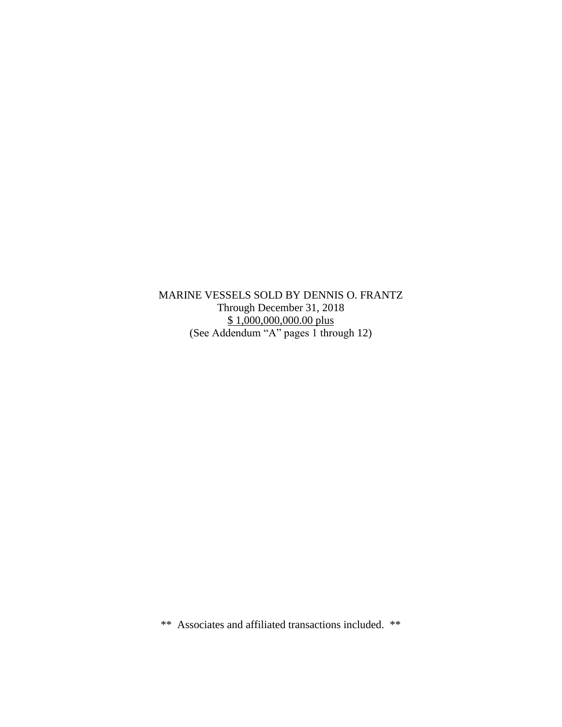MARINE VESSELS SOLD BY DENNIS O. FRANTZ Through December 31, 2018 \$1,000,000,000.00 plus (See Addendum "A" pages 1 through 12)

\*\* Associates and affiliated transactions included. \*\*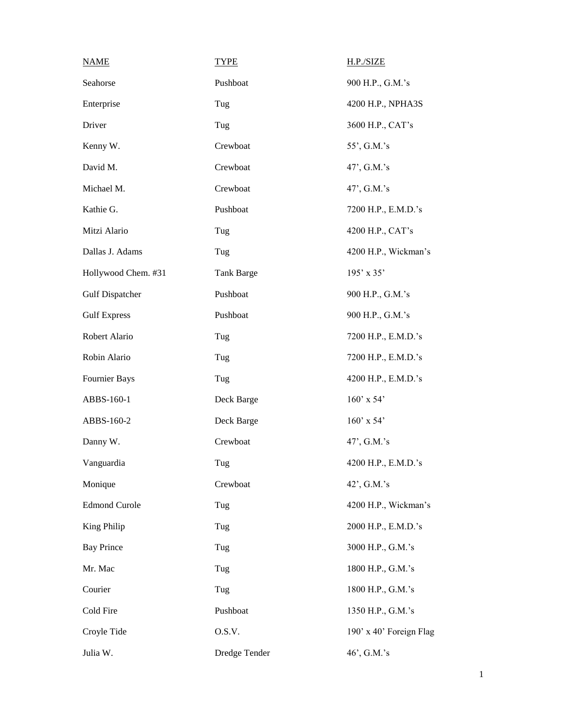| <b>NAME</b>            | <b>TYPE</b>   | H.P./SIZE               |
|------------------------|---------------|-------------------------|
| Seahorse               | Pushboat      | 900 H.P., G.M.'s        |
| Enterprise             | Tug           | 4200 H.P., NPHA3S       |
| Driver                 | Tug           | 3600 H.P., CAT's        |
| Kenny W.               | Crewboat      | 55', G.M.'s             |
| David M.               | Crewboat      | 47', G.M.'s             |
| Michael M.             | Crewboat      | 47', G.M.'s             |
| Kathie G.              | Pushboat      | 7200 H.P., E.M.D.'s     |
| Mitzi Alario           | Tug           | 4200 H.P., CAT's        |
| Dallas J. Adams        | Tug           | 4200 H.P., Wickman's    |
| Hollywood Chem. #31    | Tank Barge    | 195' x 35'              |
| <b>Gulf Dispatcher</b> | Pushboat      | 900 H.P., G.M.'s        |
| <b>Gulf Express</b>    | Pushboat      | 900 H.P., G.M.'s        |
| Robert Alario          | Tug           | 7200 H.P., E.M.D.'s     |
| Robin Alario           | Tug           | 7200 H.P., E.M.D.'s     |
| Fournier Bays          | Tug           | 4200 H.P., E.M.D.'s     |
| ABBS-160-1             | Deck Barge    | $160'$ x 54'            |
| ABBS-160-2             | Deck Barge    | $160'$ x 54'            |
| Danny W.               | Crewboat      | 47', G.M.'s             |
| Vanguardia             | Tug           | 4200 H.P., E.M.D.'s     |
| Monique                | Crewboat      | 42', G.M.'s             |
| <b>Edmond Curole</b>   | Tug           | 4200 H.P., Wickman's    |
| King Philip            | Tug           | 2000 H.P., E.M.D.'s     |
| <b>Bay Prince</b>      | Tug           | 3000 H.P., G.M.'s       |
| Mr. Mac                | Tug           | 1800 H.P., G.M.'s       |
| Courier                | Tug           | 1800 H.P., G.M.'s       |
| Cold Fire              | Pushboat      | 1350 H.P., G.M.'s       |
| Croyle Tide            | O.S.V.        | 190' x 40' Foreign Flag |
| Julia W.               | Dredge Tender | 46', G.M.'s             |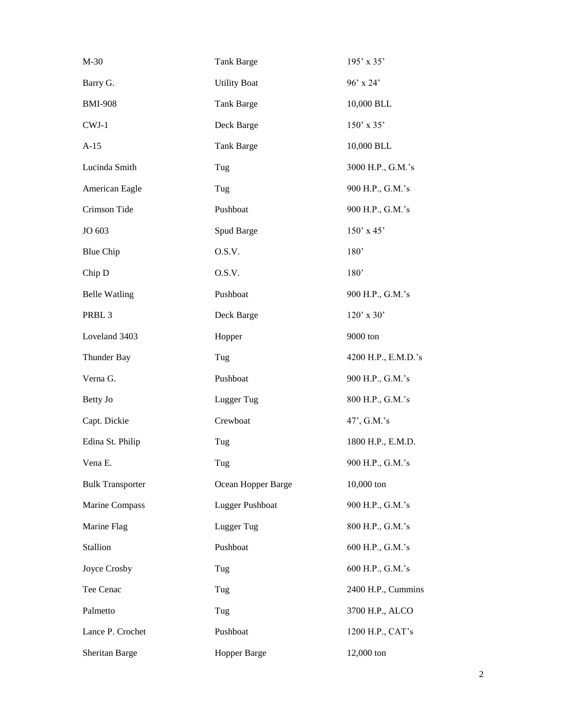| $M-30$                  | Tank Barge          | $195' \times 35'$   |
|-------------------------|---------------------|---------------------|
| Barry G.                | <b>Utility Boat</b> | 96' x 24'           |
| <b>BMI-908</b>          | Tank Barge          | 10,000 BLL          |
| $CWJ-1$                 | Deck Barge          | 150' x 35'          |
| $A-15$                  | Tank Barge          | 10,000 BLL          |
| Lucinda Smith           | Tug                 | 3000 H.P., G.M.'s   |
| American Eagle          | Tug                 | 900 H.P., G.M.'s    |
| Crimson Tide            | Pushboat            | 900 H.P., G.M.'s    |
| JO 603                  | Spud Barge          | $150'$ x 45'        |
| <b>Blue Chip</b>        | O.S.V.              | 180'                |
| Chip D                  | O.S.V.              | 180'                |
| <b>Belle Watling</b>    | Pushboat            | 900 H.P., G.M.'s    |
| PRBL <sub>3</sub>       | Deck Barge          | $120'$ x 30'        |
| Loveland 3403           | Hopper              | 9000 ton            |
| Thunder Bay             | Tug                 | 4200 H.P., E.M.D.'s |
| Verna G.                | Pushboat            | 900 H.P., G.M.'s    |
| Betty Jo                | Lugger Tug          | 800 H.P., G.M.'s    |
| Capt. Dickie            | Crewboat            | 47', G.M.'s         |
| Edina St. Philip        | Tug                 | 1800 H.P., E.M.D.   |
| Vena E.                 | Tug                 | 900 H.P., G.M.'s    |
| <b>Bulk Transporter</b> | Ocean Hopper Barge  | 10,000 ton          |
| Marine Compass          | Lugger Pushboat     | 900 H.P., G.M.'s    |
| Marine Flag             | Lugger Tug          | 800 H.P., G.M.'s    |
| Stallion                | Pushboat            | 600 H.P., G.M.'s    |
| Joyce Crosby            | Tug                 | 600 H.P., G.M.'s    |
| Tee Cenac               | Tug                 | 2400 H.P., Cummins  |
| Palmetto                | Tug                 | 3700 H.P., ALCO     |
| Lance P. Crochet        | Pushboat            | 1200 H.P., CAT's    |
| Sheritan Barge          | Hopper Barge        | 12,000 ton          |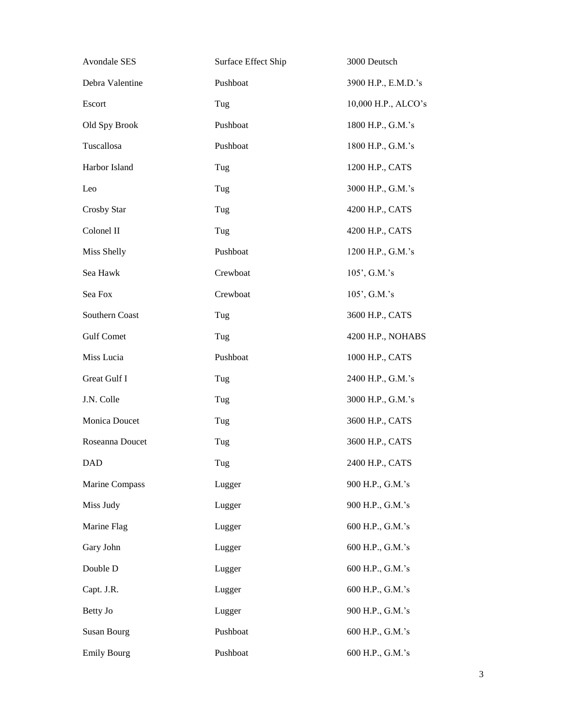| <b>Avondale SES</b> | Surface Effect Ship | 3000 Deutsch        |
|---------------------|---------------------|---------------------|
| Debra Valentine     | Pushboat            | 3900 H.P., E.M.D.'s |
| Escort              | Tug                 | 10,000 H.P., ALCO's |
| Old Spy Brook       | Pushboat            | 1800 H.P., G.M.'s   |
| Tuscallosa          | Pushboat            | 1800 H.P., G.M.'s   |
| Harbor Island       | Tug                 | 1200 H.P., CATS     |
| Leo                 | Tug                 | 3000 H.P., G.M.'s   |
| Crosby Star         | Tug                 | 4200 H.P., CATS     |
| Colonel II          | Tug                 | 4200 H.P., CATS     |
| Miss Shelly         | Pushboat            | 1200 H.P., G.M.'s   |
| Sea Hawk            | Crewboat            | 105', G.M.'s        |
| Sea Fox             | Crewboat            | 105', G.M.'s        |
| Southern Coast      | Tug                 | 3600 H.P., CATS     |
| <b>Gulf Comet</b>   | Tug                 | 4200 H.P., NOHABS   |
| Miss Lucia          | Pushboat            | 1000 H.P., CATS     |
| Great Gulf I        | Tug                 | 2400 H.P., G.M.'s   |
| J.N. Colle          | Tug                 | 3000 H.P., G.M.'s   |
| Monica Doucet       | Tug                 | 3600 H.P., CATS     |
| Roseanna Doucet     | Tug                 | 3600 H.P., CATS     |
| DAD                 | Tug                 | 2400 H.P., CATS     |
| Marine Compass      | Lugger              | 900 H.P., G.M.'s    |
| Miss Judy           | Lugger              | 900 H.P., G.M.'s    |
| Marine Flag         | Lugger              | 600 H.P., G.M.'s    |
| Gary John           | Lugger              | 600 H.P., G.M.'s    |
| Double D            | Lugger              | 600 H.P., G.M.'s    |
| Capt. J.R.          | Lugger              | 600 H.P., G.M.'s    |
| Betty Jo            | Lugger              | 900 H.P., G.M.'s    |
| <b>Susan Bourg</b>  | Pushboat            | 600 H.P., G.M.'s    |
| <b>Emily Bourg</b>  | Pushboat            | 600 H.P., G.M.'s    |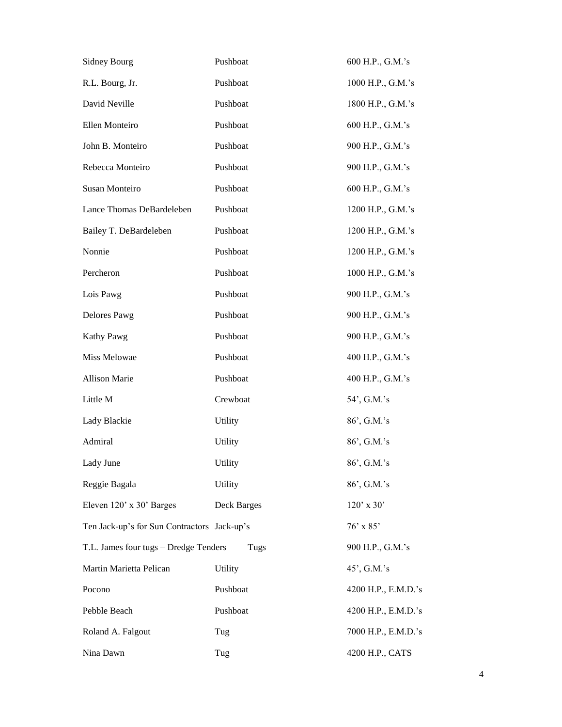| <b>Sidney Bourg</b>                         | Pushboat       | 600 H.P., G.M.'s    |
|---------------------------------------------|----------------|---------------------|
| R.L. Bourg, Jr.                             | Pushboat       | 1000 H.P., G.M.'s   |
| David Neville                               | Pushboat       | 1800 H.P., G.M.'s   |
| Ellen Monteiro                              | Pushboat       | 600 H.P., G.M.'s    |
| John B. Monteiro                            | Pushboat       | 900 H.P., G.M.'s    |
| Rebecca Monteiro                            | Pushboat       | 900 H.P., G.M.'s    |
| Susan Monteiro                              | Pushboat       | 600 H.P., G.M.'s    |
| Lance Thomas DeBardeleben                   | Pushboat       | 1200 H.P., G.M.'s   |
| Bailey T. DeBardeleben                      | Pushboat       | 1200 H.P., G.M.'s   |
| Nonnie                                      | Pushboat       | 1200 H.P., G.M.'s   |
| Percheron                                   | Pushboat       | 1000 H.P., G.M.'s   |
| Lois Pawg                                   | Pushboat       | 900 H.P., G.M.'s    |
| Delores Pawg                                | Pushboat       | 900 H.P., G.M.'s    |
| Kathy Pawg                                  | Pushboat       | 900 H.P., G.M.'s    |
| Miss Melowae                                | Pushboat       | 400 H.P., G.M.'s    |
| Allison Marie                               | Pushboat       | 400 H.P., G.M.'s    |
| Little M                                    | Crewboat       | 54', G.M.'s         |
| Lady Blackie                                | Utility        | 86', G.M.'s         |
| Admiral                                     | <b>Utility</b> | 86', G.M.'s         |
| Lady June                                   | Utility        | 86', G.M.'s         |
| Reggie Bagala                               | Utility        | 86', G.M.'s         |
| Eleven 120' x 30' Barges                    | Deck Barges    | $120'$ x 30'        |
| Ten Jack-up's for Sun Contractors Jack-up's |                | $76'$ x 85'         |
| T.L. James four tugs - Dredge Tenders       | Tugs           | 900 H.P., G.M.'s    |
| Martin Marietta Pelican                     | Utility        | 45', G.M.'s         |
| Pocono                                      | Pushboat       | 4200 H.P., E.M.D.'s |
| Pebble Beach                                | Pushboat       | 4200 H.P., E.M.D.'s |
| Roland A. Falgout                           | Tug            | 7000 H.P., E.M.D.'s |
| Nina Dawn                                   | Tug            | 4200 H.P., CATS     |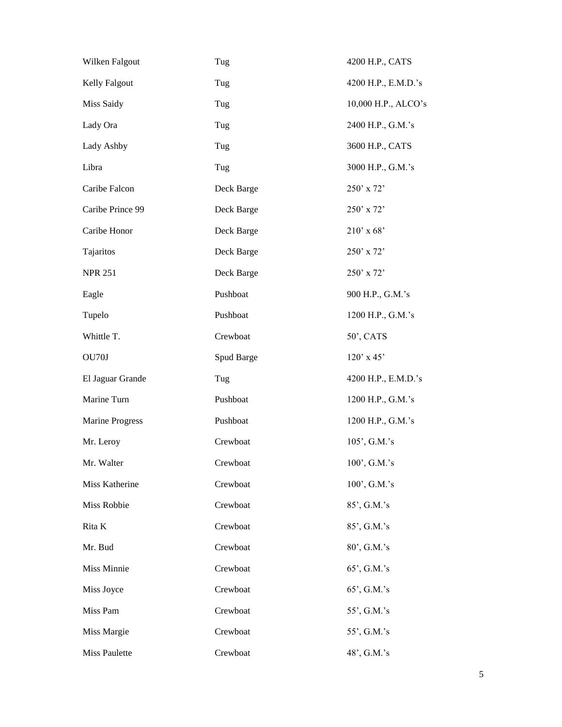| Wilken Falgout         | Tug        | 4200 H.P., CATS     |
|------------------------|------------|---------------------|
| Kelly Falgout          | Tug        | 4200 H.P., E.M.D.'s |
| Miss Saidy             | Tug        | 10,000 H.P., ALCO's |
| Lady Ora               | Tug        | 2400 H.P., G.M.'s   |
| Lady Ashby             | Tug        | 3600 H.P., CATS     |
| Libra                  | Tug        | 3000 H.P., G.M.'s   |
| Caribe Falcon          | Deck Barge | $250'$ x 72'        |
| Caribe Prince 99       | Deck Barge | 250' x 72'          |
| Caribe Honor           | Deck Barge | $210'$ x 68'        |
| Tajaritos              | Deck Barge | $250'$ x 72'        |
| <b>NPR 251</b>         | Deck Barge | $250'$ x 72'        |
| Eagle                  | Pushboat   | 900 H.P., G.M.'s    |
| Tupelo                 | Pushboat   | 1200 H.P., G.M.'s   |
| Whittle T.             | Crewboat   | 50', CATS           |
| OU70J                  | Spud Barge | $120'$ x 45'        |
| El Jaguar Grande       | Tug        | 4200 H.P., E.M.D.'s |
| Marine Turn            | Pushboat   | 1200 H.P., G.M.'s   |
| <b>Marine Progress</b> | Pushboat   | 1200 H.P., G.M.'s   |
| Mr. Leroy              | Crewboat   | 105', G.M.'s        |
| Mr. Walter             | Crewboat   | $100'$ , G.M.'s     |
| Miss Katherine         | Crewboat   | 100', G.M.'s        |
| Miss Robbie            | Crewboat   | 85', G.M.'s         |
| Rita K                 | Crewboat   | 85', G.M.'s         |
| Mr. Bud                | Crewboat   | 80', G.M.'s         |
| Miss Minnie            | Crewboat   | 65', G.M.'s         |
| Miss Joyce             | Crewboat   | 65', G.M.'s         |
| Miss Pam               | Crewboat   | 55', G.M.'s         |
| Miss Margie            | Crewboat   | 55', G.M.'s         |
| <b>Miss Paulette</b>   | Crewboat   | 48', G.M.'s         |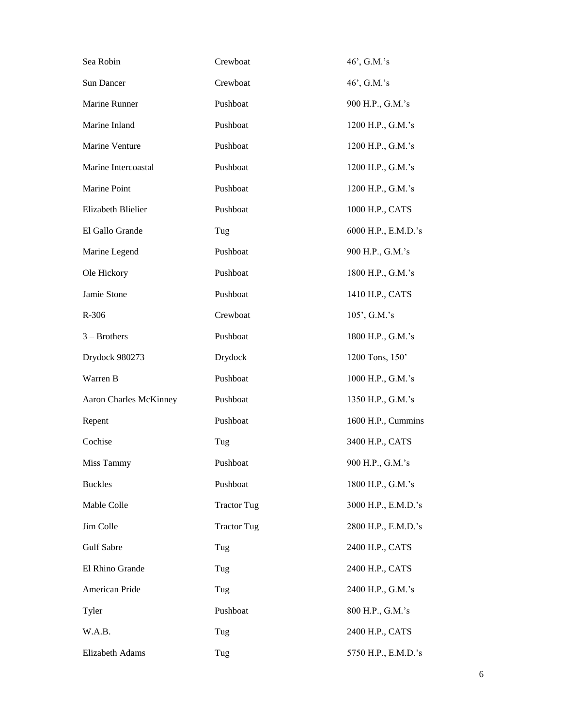| Sea Robin                     | Crewboat           | 46', G.M.'s         |
|-------------------------------|--------------------|---------------------|
| Sun Dancer                    | Crewboat           | 46', G.M.'s         |
| Marine Runner                 | Pushboat           | 900 H.P., G.M.'s    |
| Marine Inland                 | Pushboat           | 1200 H.P., G.M.'s   |
| Marine Venture                | Pushboat           | 1200 H.P., G.M.'s   |
| Marine Intercoastal           | Pushboat           | 1200 H.P., G.M.'s   |
| Marine Point                  | Pushboat           | 1200 H.P., G.M.'s   |
| Elizabeth Blielier            | Pushboat           | 1000 H.P., CATS     |
| El Gallo Grande               | Tug                | 6000 H.P., E.M.D.'s |
| Marine Legend                 | Pushboat           | 900 H.P., G.M.'s    |
| Ole Hickory                   | Pushboat           | 1800 H.P., G.M.'s   |
| Jamie Stone                   | Pushboat           | 1410 H.P., CATS     |
| R-306                         | Crewboat           | 105', G.M.'s        |
| $3 - Brothers$                | Pushboat           | 1800 H.P., G.M.'s   |
| Drydock 980273                | Drydock            | 1200 Tons, 150'     |
| Warren B                      | Pushboat           | 1000 H.P., G.M.'s   |
| <b>Aaron Charles McKinney</b> | Pushboat           | 1350 H.P., G.M.'s   |
| Repent                        | Pushboat           | 1600 H.P., Cummins  |
| Cochise                       | Tug                | 3400 H.P., CATS     |
| Miss Tammy                    | Pushboat           | 900 H.P., G.M.'s    |
| <b>Buckles</b>                | Pushboat           | 1800 H.P., G.M.'s   |
| Mable Colle                   | <b>Tractor Tug</b> | 3000 H.P., E.M.D.'s |
| Jim Colle                     | <b>Tractor Tug</b> | 2800 H.P., E.M.D.'s |
| Gulf Sabre                    | Tug                | 2400 H.P., CATS     |
| El Rhino Grande               | Tug                | 2400 H.P., CATS     |
| American Pride                | Tug                | 2400 H.P., G.M.'s   |
| Tyler                         | Pushboat           | 800 H.P., G.M.'s    |
| W.A.B.                        | Tug                | 2400 H.P., CATS     |
| Elizabeth Adams               | Tug                | 5750 H.P., E.M.D.'s |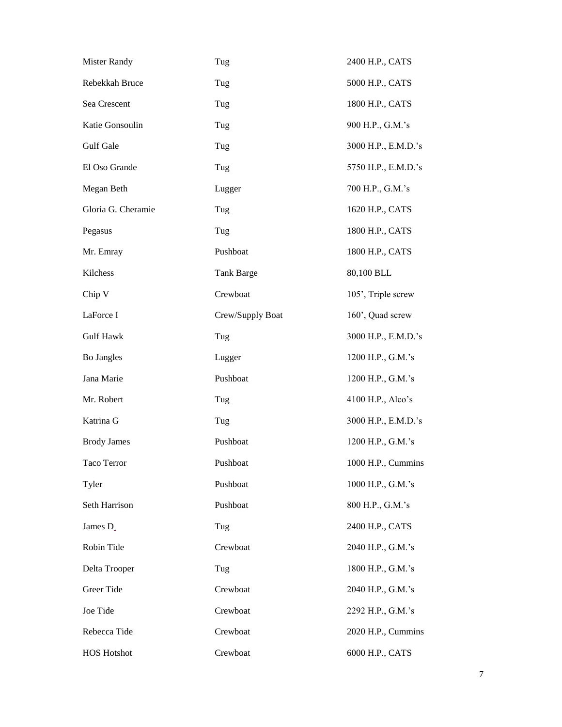| <b>Mister Randy</b> | Tug               | 2400 H.P., CATS     |
|---------------------|-------------------|---------------------|
| Rebekkah Bruce      | Tug               | 5000 H.P., CATS     |
| Sea Crescent        | Tug               | 1800 H.P., CATS     |
| Katie Gonsoulin     | Tug               | 900 H.P., G.M.'s    |
| Gulf Gale           | Tug               | 3000 H.P., E.M.D.'s |
| El Oso Grande       | Tug               | 5750 H.P., E.M.D.'s |
| Megan Beth          | Lugger            | 700 H.P., G.M.'s    |
| Gloria G. Cheramie  | Tug               | 1620 H.P., CATS     |
| Pegasus             | Tug               | 1800 H.P., CATS     |
| Mr. Emray           | Pushboat          | 1800 H.P., CATS     |
| Kilchess            | <b>Tank Barge</b> | 80,100 BLL          |
| Chip V              | Crewboat          | 105', Triple screw  |
| LaForce I           | Crew/Supply Boat  | 160', Quad screw    |
| <b>Gulf Hawk</b>    | Tug               | 3000 H.P., E.M.D.'s |
| Bo Jangles          | Lugger            | 1200 H.P., G.M.'s   |
| Jana Marie          | Pushboat          | 1200 H.P., G.M.'s   |
| Mr. Robert          | Tug               | 4100 H.P., Alco's   |
| Katrina G           | Tug               | 3000 H.P., E.M.D.'s |
| <b>Brody James</b>  | Pushboat          | 1200 H.P., G.M.'s   |
| Taco Terror         | Pushboat          | 1000 H.P., Cummins  |
| Tyler               | Pushboat          | 1000 H.P., G.M.'s   |
| Seth Harrison       | Pushboat          | 800 H.P., G.M.'s    |
| James D             | Tug               | 2400 H.P., CATS     |
| Robin Tide          | Crewboat          | 2040 H.P., G.M.'s   |
| Delta Trooper       | Tug               | 1800 H.P., G.M.'s   |
| Greer Tide          | Crewboat          | 2040 H.P., G.M.'s   |
| Joe Tide            | Crewboat          | 2292 H.P., G.M.'s   |
| Rebecca Tide        | Crewboat          | 2020 H.P., Cummins  |
| <b>HOS Hotshot</b>  | Crewboat          | 6000 H.P., CATS     |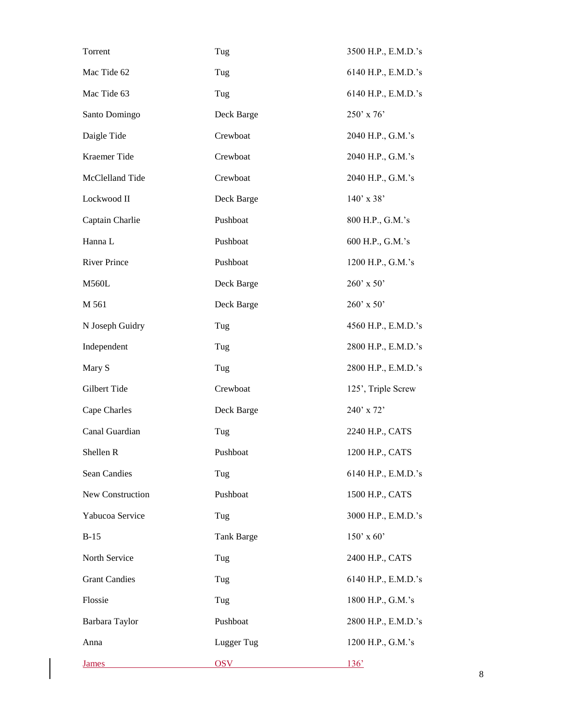| Torrent              | Tug               | 3500 H.P., E.M.D.'s |
|----------------------|-------------------|---------------------|
| Mac Tide 62          | Tug               | 6140 H.P., E.M.D.'s |
| Mac Tide 63          | Tug               | 6140 H.P., E.M.D.'s |
| Santo Domingo        | Deck Barge        | 250' x 76'          |
| Daigle Tide          | Crewboat          | 2040 H.P., G.M.'s   |
| Kraemer Tide         | Crewboat          | 2040 H.P., G.M.'s   |
| McClelland Tide      | Crewboat          | 2040 H.P., G.M.'s   |
| Lockwood II          | Deck Barge        | $140'$ x 38'        |
| Captain Charlie      | Pushboat          | 800 H.P., G.M.'s    |
| Hanna L              | Pushboat          | 600 H.P., G.M.'s    |
| <b>River Prince</b>  | Pushboat          | 1200 H.P., G.M.'s   |
| <b>M560L</b>         | Deck Barge        | 260' x 50'          |
| M 561                | Deck Barge        | 260' x 50'          |
| N Joseph Guidry      | Tug               | 4560 H.P., E.M.D.'s |
| Independent          | Tug               | 2800 H.P., E.M.D.'s |
| Mary S               | Tug               | 2800 H.P., E.M.D.'s |
| Gilbert Tide         | Crewboat          | 125', Triple Screw  |
| Cape Charles         | Deck Barge        | 240' x 72'          |
| Canal Guardian       | Tug               | 2240 H.P., CATS     |
| Shellen R            | Pushboat          | 1200 H.P., CATS     |
| <b>Sean Candies</b>  | Tug               | 6140 H.P., E.M.D.'s |
| New Construction     | Pushboat          | 1500 H.P., CATS     |
| Yabucoa Service      | Tug               | 3000 H.P., E.M.D.'s |
| $B-15$               | <b>Tank Barge</b> | $150'$ x 60'        |
| North Service        | Tug               | 2400 H.P., CATS     |
| <b>Grant Candies</b> | Tug               | 6140 H.P., E.M.D.'s |
| Flossie              | Tug               | 1800 H.P., G.M.'s   |
| Barbara Taylor       | Pushboat          | 2800 H.P., E.M.D.'s |
| Anna                 | Lugger Tug        | 1200 H.P., G.M.'s   |
| <b>James</b>         | <b>OSV</b>        | 136'                |

 $\mathsf{l}$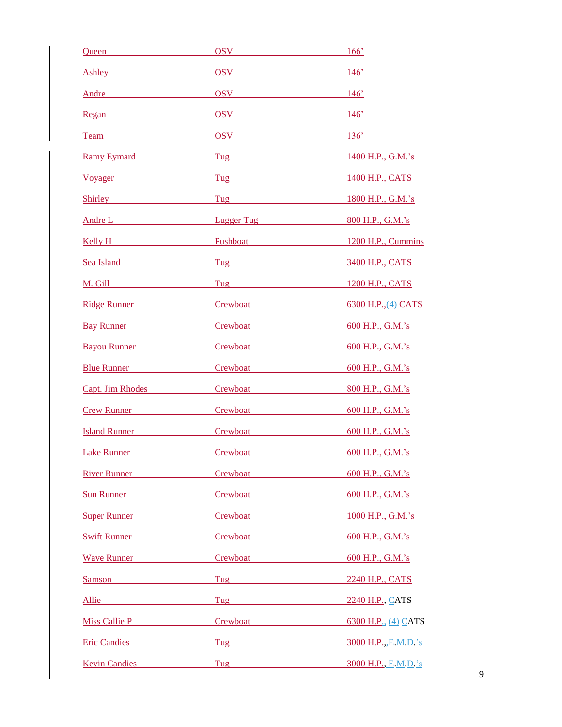| <u>Queen</u>                                                                                                                                                                                                                        | OSV                                                                                                                                                                                                                                | 166'                    |
|-------------------------------------------------------------------------------------------------------------------------------------------------------------------------------------------------------------------------------------|------------------------------------------------------------------------------------------------------------------------------------------------------------------------------------------------------------------------------------|-------------------------|
|                                                                                                                                                                                                                                     | Ashley OSV 146'                                                                                                                                                                                                                    |                         |
| Andre                                                                                                                                                                                                                               | $OSV$ 146 <sup>o</sup>                                                                                                                                                                                                             |                         |
| Regan                                                                                                                                                                                                                               | $\overline{OSV}$ 146'                                                                                                                                                                                                              |                         |
| Team Team                                                                                                                                                                                                                           | $OSV$ 136'                                                                                                                                                                                                                         |                         |
| <b>Ramy Eymard</b>                                                                                                                                                                                                                  |                                                                                                                                                                                                                                    | 1400 H.P., G.M.'s       |
| Voyager                                                                                                                                                                                                                             | <b>Tug Exercise 2018</b>                                                                                                                                                                                                           | 1400 H.P., CATS         |
| Shirley <b>Shirley</b>                                                                                                                                                                                                              | Tug and the contract of the contract of the contract of the contract of the contract of the contract of the contract of the contract of the contract of the contract of the contract of the contract of the contract of the co     | 1800 H.P., G.M.'s       |
|                                                                                                                                                                                                                                     | Andre Lander and Lugger Tug                                                                                                                                                                                                        | 800 H.P., G.M.'s        |
|                                                                                                                                                                                                                                     | <u>Kelly H Pushboat</u>                                                                                                                                                                                                            | 1200 H.P., Cummins      |
| Sea Island                                                                                                                                                                                                                          | Tug and the same state of the state of the state of the state of the state of the state of the state of the state of the state of the state of the state of the state of the state of the state of the state of the state of t     | 3400 H.P., CATS         |
| M. Gill                                                                                                                                                                                                                             |                                                                                                                                                                                                                                    | 1200 H.P., CATS         |
| Ridge Runner                                                                                                                                                                                                                        | Crewboat Manual Manual Manual Manual Manual Manual Manual Manual Manual Manual Manual Manual Manual Manual Manual Ma                                                                                                               | 6300 H.P., (4) CATS     |
| Bay Runner                                                                                                                                                                                                                          | Crew <u>boat</u>                                                                                                                                                                                                                   | 600 H.P., G.M.'s        |
| Bayou Runner                                                                                                                                                                                                                        | Crewboat <u>and</u> the control of the control of the control of the control of the control of the control of the control of the control of the control of the control of the control of the control of the control of the control | 600 H.P., G.M.'s        |
|                                                                                                                                                                                                                                     | <u>Blue Runner</u> Crewboat Crewboat                                                                                                                                                                                               | 600 H.P., G.M.'s        |
|                                                                                                                                                                                                                                     | Capt. Jim Rhodes Crewboat                                                                                                                                                                                                          | 800 H.P., G.M.'s        |
|                                                                                                                                                                                                                                     | <b>Crew Runner</b> Crewboat                                                                                                                                                                                                        | 600 H.P., G.M.'s        |
|                                                                                                                                                                                                                                     | Island Runner Crewboat                                                                                                                                                                                                             | 600 H.P., G.M.'s        |
| <b>Lake Runner</b>                                                                                                                                                                                                                  | Crewboat                                                                                                                                                                                                                           | 600 H.P., G.M.'s        |
| River Runner                                                                                                                                                                                                                        | Crewboat <b>Crewboat</b>                                                                                                                                                                                                           | 600 H.P., G.M.'s        |
| Sun Runner                                                                                                                                                                                                                          | Crewboat                                                                                                                                                                                                                           | 600 H.P., G.M.'s        |
| <b>Super Runner Super Runner</b>                                                                                                                                                                                                    | Crewboat <b>Crewboat</b>                                                                                                                                                                                                           | 1000 H.P., G.M.'s       |
| Swift Runner                                                                                                                                                                                                                        | Crewboat                                                                                                                                                                                                                           | 600 H.P., G.M.'s        |
| <b>Wave Runner</b> Management of the Management of the Management of the Management of the Management of the Management of the Management of the Management of the Management of the Management of the Management of the Management |                                                                                                                                                                                                                                    | 600 H.P., G.M.'s        |
| Samson                                                                                                                                                                                                                              | Tug and the contract of the contract of the contract of the contract of the contract of the contract of the contract of the contract of the contract of the contract of the contract of the contract of the contract of the co     | 2240 H.P., CATS         |
| Allie                                                                                                                                                                                                                               | Tug and the contract of the contract of the contract of the contract of the contract of the contract of the contract of the contract of the contract of the contract of the contract of the contract of the contract of the co     | 2240 H.P., CATS         |
|                                                                                                                                                                                                                                     | Miss Callie P Crewboat                                                                                                                                                                                                             | 6300 H.P., (4) CATS     |
| <b>Eric Candies</b>                                                                                                                                                                                                                 | Tug and the same state of the state of the state of the state of the state of the state of the state of the state of the state of the state of the state of the state of the state of the state of the state of the state of t     | 3000 H.P., E.M.D.'s     |
| <b>Kevin Candies</b>                                                                                                                                                                                                                |                                                                                                                                                                                                                                    | Tug 3000 H.P., E.M.D.'s |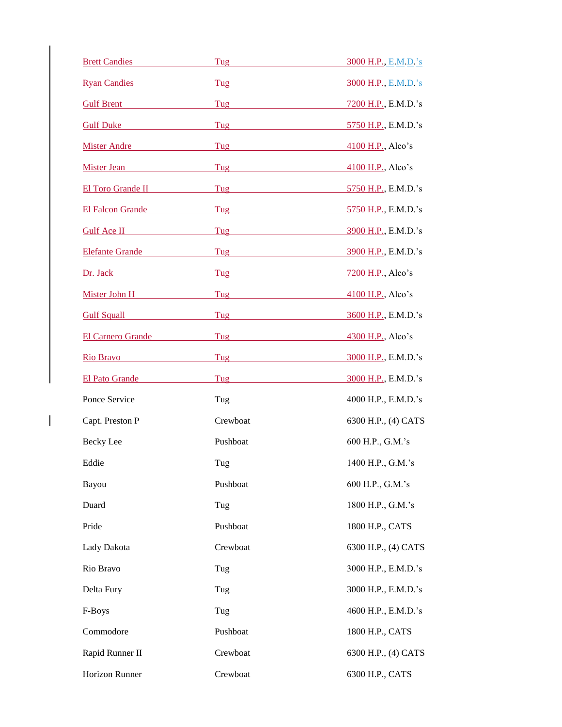| <b>Brett Candies</b>   | Tug                                                                                                                                                                                                                                  | 3000 H.P., E.M.D.'s |
|------------------------|--------------------------------------------------------------------------------------------------------------------------------------------------------------------------------------------------------------------------------------|---------------------|
| <b>Ryan Candies</b>    | Tug and the contract of the contract of the contract of the contract of the contract of the contract of the contract of the contract of the contract of the contract of the contract of the contract of the contract of the co       | 3000 H.P., E.M.D.'s |
| Gulf Brent             | Tug and the contract of the contract of the contract of the contract of the contract of the contract of the contract of the contract of the contract of the contract of the contract of the contract of the contract of the co       | 7200 H.P., E.M.D.'s |
| Gulf Duke              | Tug 5750 H.P., E.M.D.'s                                                                                                                                                                                                              |                     |
| Mister Andre           | Tug and the contract of the contract of the contract of the contract of the contract of the contract of the contract of the contract of the contract of the contract of the contract of the contract of the contract of the co       | 4100 H.P., Alco's   |
| Mister Jean            | Tug and the contract of the contract of the contract of the contract of the contract of the contract of the contract of the contract of the contract of the contract of the contract of the contract of the contract of the co       | 4100 H.P., Alco's   |
| El Toro Grande II      | <b>Tug and Service Service Service Service Service Service Service Service Service Service Service Service Service</b>                                                                                                               | 5750 H.P., E.M.D.'s |
| El Falcon Grande       | <b>Tug and Service Service Service Service Service Service Service Service Service Service Service Service Service</b>                                                                                                               | 5750 H.P., E.M.D.'s |
| Gulf Ace II            | Tug and the contract of the contract of the contract of the contract of the contract of the contract of the contract of the contract of the contract of the contract of the contract of the contract of the contract of the co       | 3900 H.P., E.M.D.'s |
| <b>Elefante Grande</b> | Tug                                                                                                                                                                                                                                  | 3900 H.P., E.M.D.'s |
| Dr. Jack Dr. Jack      | Tug and the contract of the contract of the contract of the contract of the contract of the contract of the contract of the contract of the contract of the contract of the contract of the contract of the contract of the co       | 7200 H.P., Alco's   |
| Mister John H          | Tug                                                                                                                                                                                                                                  | 4100 H.P., Alco's   |
| Gulf Squall            | Tug                                                                                                                                                                                                                                  | 3600 H.P., E.M.D.'s |
| El Carnero Grande      | <b>Tug Exercise 2018</b>                                                                                                                                                                                                             | 4300 H.P., Alco's   |
| Rio Bravo              | Tug <b>Express Structure Contract Contract Contract Contract Contract Contract Contract Contract Contract Contract Contract Contract Contract Contract Contract Contract Contract Contract Contract Contract Contract Contract C</b> | 3000 H.P., E.M.D.'s |
| El Pato Grande         | <b>Tug</b> and the same of the same of the same of the same of the same of the same of the same of the same of the same of the same of the same of the same of the same of the same of the same of the same of the same of the same  | 3000 H.P., E.M.D.'s |
| Ponce Service          | Tug                                                                                                                                                                                                                                  | 4000 H.P., E.M.D.'s |
| Capt. Preston P        | Crewboat                                                                                                                                                                                                                             | 6300 H.P., (4) CATS |
| Becky Lee              | Pushboat                                                                                                                                                                                                                             | 600 H.P., G.M.'s    |
| Eddie                  | Tug                                                                                                                                                                                                                                  | 1400 H.P., G.M.'s   |
| Bayou                  | Pushboat                                                                                                                                                                                                                             | 600 H.P., G.M.'s    |
| Duard                  | Tug                                                                                                                                                                                                                                  | 1800 H.P., G.M.'s   |
| Pride                  | Pushboat                                                                                                                                                                                                                             | 1800 H.P., CATS     |
| Lady Dakota            | Crewboat                                                                                                                                                                                                                             | 6300 H.P., (4) CATS |
| Rio Bravo              | Tug                                                                                                                                                                                                                                  | 3000 H.P., E.M.D.'s |
| Delta Fury             | Tug                                                                                                                                                                                                                                  | 3000 H.P., E.M.D.'s |
| F-Boys                 | Tug                                                                                                                                                                                                                                  | 4600 H.P., E.M.D.'s |
| Commodore              | Pushboat                                                                                                                                                                                                                             | 1800 H.P., CATS     |
| Rapid Runner II        | Crewboat                                                                                                                                                                                                                             | 6300 H.P., (4) CATS |
| Horizon Runner         | Crewboat                                                                                                                                                                                                                             | 6300 H.P., CATS     |

 $\mathbf{I}$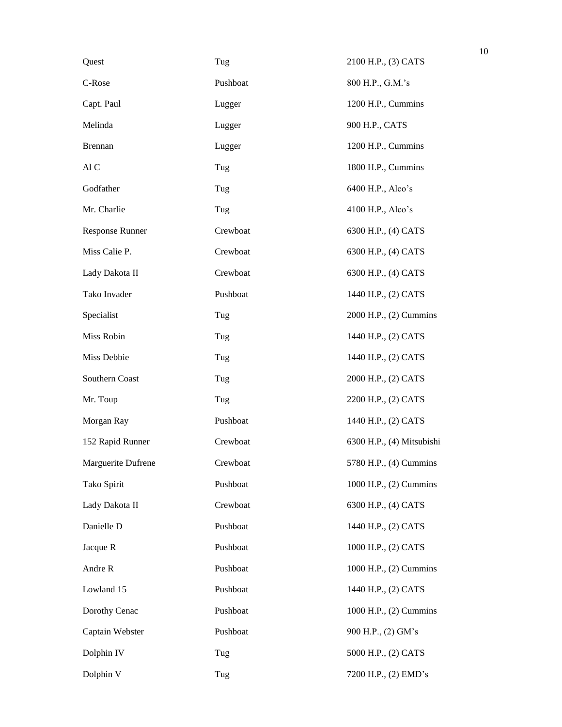| Quest              | Tug      | 2100 H.P., (3) CATS       |
|--------------------|----------|---------------------------|
| C-Rose             | Pushboat | 800 H.P., G.M.'s          |
| Capt. Paul         | Lugger   | 1200 H.P., Cummins        |
| Melinda            | Lugger   | 900 H.P., CATS            |
| <b>Brennan</b>     | Lugger   | 1200 H.P., Cummins        |
| Al C               | Tug      | 1800 H.P., Cummins        |
| Godfather          | Tug      | 6400 H.P., Alco's         |
| Mr. Charlie        | Tug      | 4100 H.P., Alco's         |
| Response Runner    | Crewboat | 6300 H.P., (4) CATS       |
| Miss Calie P.      | Crewboat | 6300 H.P., (4) CATS       |
| Lady Dakota II     | Crewboat | 6300 H.P., (4) CATS       |
| Tako Invader       | Pushboat | 1440 H.P., (2) CATS       |
| Specialist         | Tug      | 2000 H.P., (2) Cummins    |
| Miss Robin         | Tug      | 1440 H.P., (2) CATS       |
| Miss Debbie        | Tug      | 1440 H.P., (2) CATS       |
| Southern Coast     | Tug      | 2000 H.P., (2) CATS       |
| Mr. Toup           | Tug      | 2200 H.P., (2) CATS       |
| Morgan Ray         | Pushboat | 1440 H.P., (2) CATS       |
| 152 Rapid Runner   | Crewboat | 6300 H.P., (4) Mitsubishi |
| Marguerite Dufrene | Crewboat | 5780 H.P., (4) Cummins    |
| Tako Spirit        | Pushboat | 1000 H.P., (2) Cummins    |
| Lady Dakota II     | Crewboat | 6300 H.P., (4) CATS       |
| Danielle D         | Pushboat | 1440 H.P., (2) CATS       |
| Jacque R           | Pushboat | 1000 H.P., (2) CATS       |
| Andre R            | Pushboat | 1000 H.P., (2) Cummins    |
| Lowland 15         | Pushboat | 1440 H.P., (2) CATS       |
| Dorothy Cenac      | Pushboat | 1000 H.P., (2) Cummins    |
| Captain Webster    | Pushboat | 900 H.P., (2) GM's        |
| Dolphin IV         | Tug      | 5000 H.P., (2) CATS       |
| Dolphin V          | Tug      | 7200 H.P., (2) EMD's      |